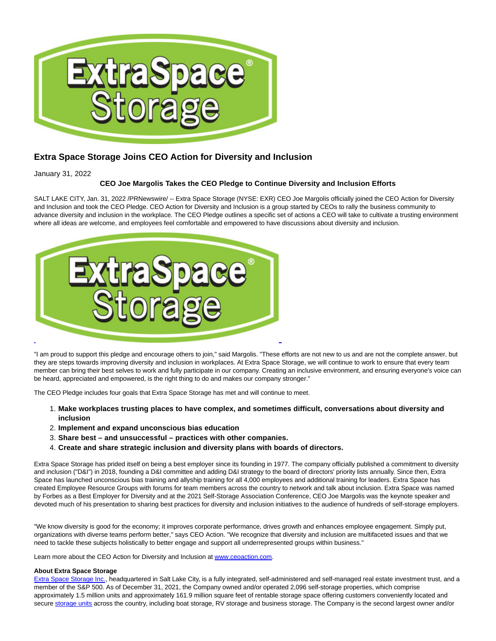

## **Extra Space Storage Joins CEO Action for Diversity and Inclusion**

January 31, 2022

## **CEO Joe Margolis Takes the CEO Pledge to Continue Diversity and Inclusion Efforts**

SALT LAKE CITY, Jan. 31, 2022 /PRNewswire/ -- Extra Space Storage (NYSE: EXR) CEO Joe Margolis officially joined the CEO Action for Diversity and Inclusion and took the CEO Pledge. CEO Action for Diversity and Inclusion is a group started by CEOs to rally the business community to advance diversity and inclusion in the workplace. The CEO Pledge outlines a specific set of actions a CEO will take to cultivate a trusting environment where all ideas are welcome, and employees feel comfortable and empowered to have discussions about diversity and inclusion.



"I am proud to support this pledge and encourage others to join," said Margolis. "These efforts are not new to us and are not the complete answer, but they are steps towards improving diversity and inclusion in workplaces. At Extra Space Storage, we will continue to work to ensure that every team member can bring their best selves to work and fully participate in our company. Creating an inclusive environment, and ensuring everyone's voice can be heard, appreciated and empowered, is the right thing to do and makes our company stronger."

The CEO Pledge includes four goals that Extra Space Storage has met and will continue to meet.

- **Make workplaces trusting places to have complex, and sometimes difficult, conversations about diversity and** 1. **inclusion**
- 2. **Implement and expand unconscious bias education**
- 3. **Share best and unsuccessful practices with other companies.**
- 4. **Create and share strategic inclusion and diversity plans with boards of directors.**

Extra Space Storage has prided itself on being a best employer since its founding in 1977. The company officially published a commitment to diversity and inclusion ("D&I") in 2018, founding a D&I committee and adding D&I strategy to the board of directors' priority lists annually. Since then, Extra Space has launched unconscious bias training and allyship training for all 4,000 employees and additional training for leaders. Extra Space has created Employee Resource Groups with forums for team members across the country to network and talk about inclusion. Extra Space was named by Forbes as a Best Employer for Diversity and at the 2021 Self-Storage Association Conference, CEO Joe Margolis was the keynote speaker and devoted much of his presentation to sharing best practices for diversity and inclusion initiatives to the audience of hundreds of self-storage employers.

"We know diversity is good for the economy; it improves corporate performance, drives growth and enhances employee engagement. Simply put, organizations with diverse teams perform better," says CEO Action. "We recognize that diversity and inclusion are multifaceted issues and that we need to tackle these subjects holistically to better engage and support all underrepresented groups within business."

Learn more about the CEO Action for Diversity and Inclusion a[t www.ceoaction.com.](https://c212.net/c/link/?t=0&l=en&o=3429039-1&h=1416536400&u=http%3A%2F%2Fwww.ceoaction.com%2F&a=www.ceoaction.com)

## **About Extra Space Storage**

[Extra Space Storage Inc.,](https://c212.net/c/link/?t=0&l=en&o=3429039-1&h=2446077568&u=https%3A%2F%2Fc212.net%2Fc%2Flink%2F%3Ft%3D0%26l%3Den%26o%3D3368231-1%26h%3D2399316451%26u%3Dhttp%253A%252F%252Fwww.extraspace.com%252F%26a%3DExtra%2BSpace%2BStorage%2BInc.&a=Extra+Space+Storage+Inc.) headquartered in Salt Lake City, is a fully integrated, self-administered and self-managed real estate investment trust, and a member of the S&P 500. As of December 31, 2021, the Company owned and/or operated 2,096 self-storage properties, which comprise approximately 1.5 million units and approximately 161.9 million square feet of rentable storage space offering customers conveniently located and secur[e storage units a](https://c212.net/c/link/?t=0&l=en&o=3429039-1&h=3826529180&u=https%3A%2F%2Fc212.net%2Fc%2Flink%2F%3Ft%3D0%26l%3Den%26o%3D3368231-1%26h%3D292242226%26u%3Dhttp%253A%252F%252Fwww.extraspace.com%252F%26a%3Dstorage%2Bunits&a=storage+units)cross the country, including boat storage, RV storage and business storage. The Company is the second largest owner and/or